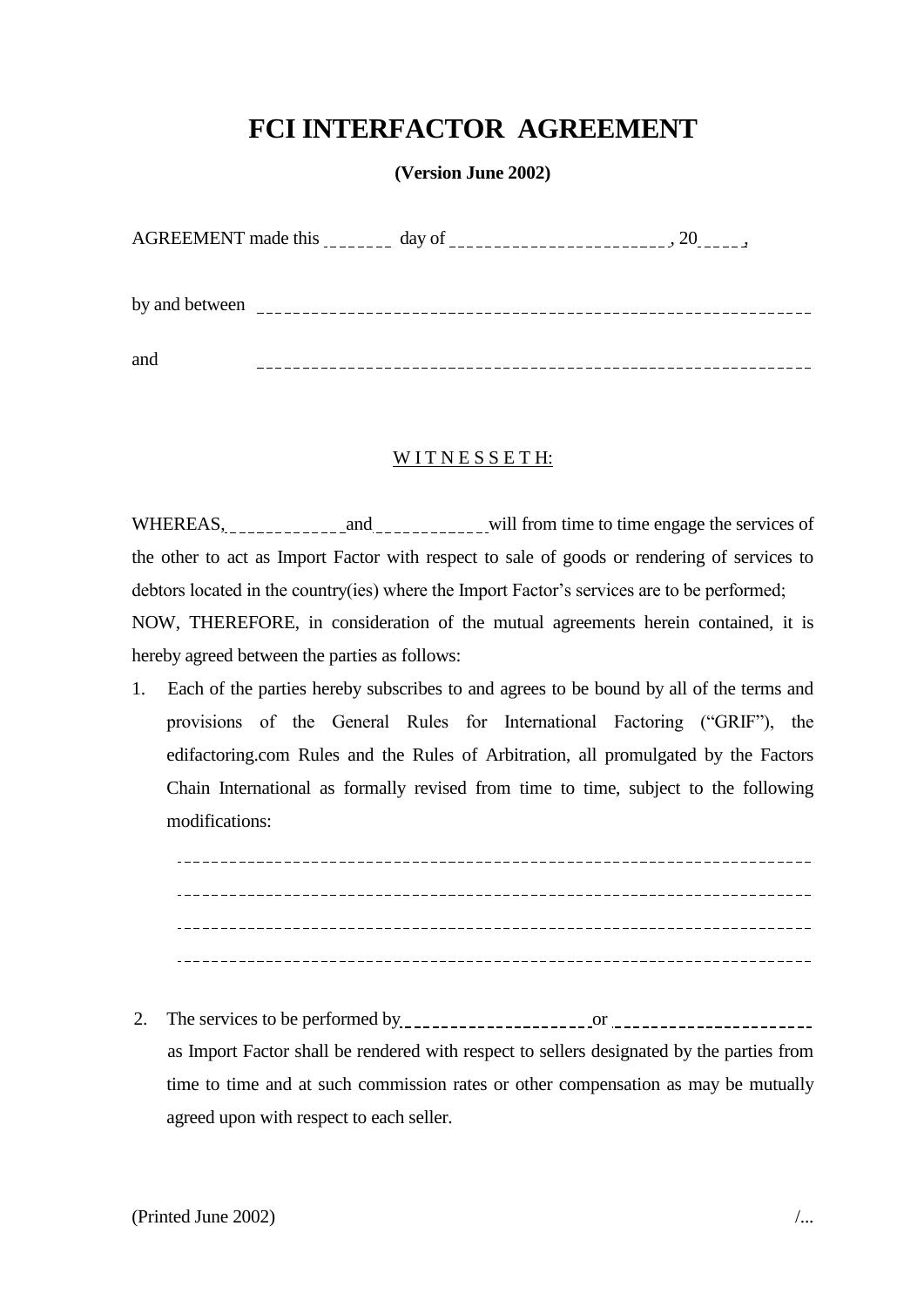# **FCI INTERFACTOR AGREEMENT**

**(Version June 2002)**

|                | AGREEMENT made this ________ day of __   |  |  |
|----------------|------------------------------------------|--|--|
| by and between | <u> 1990 - Albert Albert III eta Ant</u> |  |  |
| and            |                                          |  |  |

### WITNESSETH:

WHEREAS, and will from time to time engage the services of the other to act as Import Factor with respect to sale of goods or rendering of services to debtors located in the country(ies) where the Import Factor's services are to be performed;

NOW, THEREFORE, in consideration of the mutual agreements herein contained, it is hereby agreed between the parties as follows:

1. Each of the parties hereby subscribes to and agrees to be bound by all of the terms and provisions of the General Rules for International Factoring ("GRIF"), the edifactoring.com Rules and the Rules of Arbitration, all promulgated by the Factors Chain International as formally revised from time to time, subject to the following modifications:

2. The services to be performed by  $\frac{1}{2}$   $\frac{1}{2}$   $\frac{1}{2}$   $\frac{1}{2}$   $\frac{1}{2}$   $\frac{1}{2}$   $\frac{1}{2}$   $\frac{1}{2}$   $\frac{1}{2}$   $\frac{1}{2}$   $\frac{1}{2}$   $\frac{1}{2}$   $\frac{1}{2}$   $\frac{1}{2}$   $\frac{1}{2}$   $\frac{1}{2}$   $\frac{1}{2}$   $\frac{1}{2}$   $\frac{1}{$ as Import Factor shall be rendered with respect to sellers designated by the parties from time to time and at such commission rates or other compensation as may be mutually agreed upon with respect to each seller.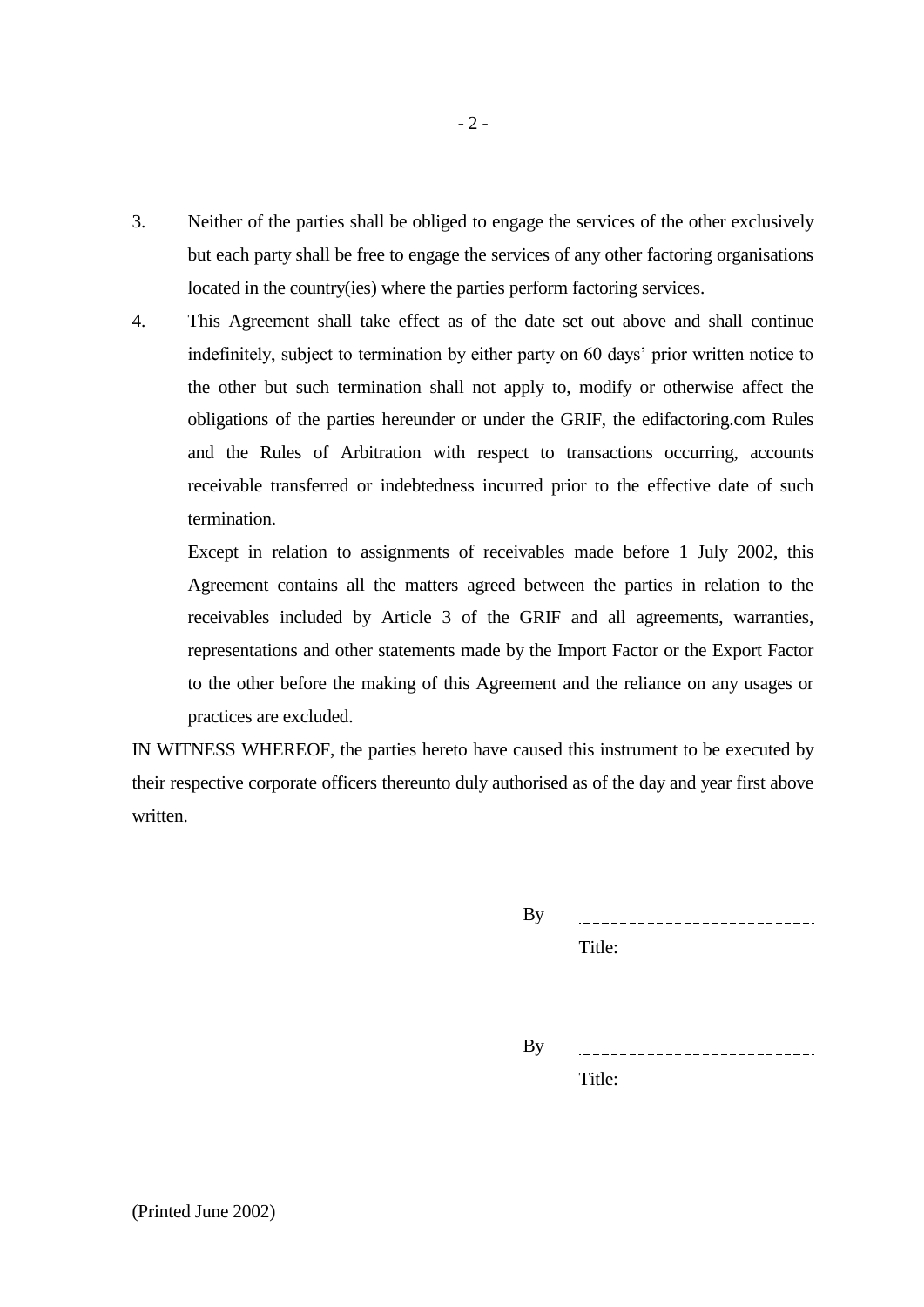- 3. Neither of the parties shall be obliged to engage the services of the other exclusively but each party shall be free to engage the services of any other factoring organisations located in the country(ies) where the parties perform factoring services.
- 4. This Agreement shall take effect as of the date set out above and shall continue indefinitely, subject to termination by either party on 60 days' prior written notice to the other but such termination shall not apply to, modify or otherwise affect the obligations of the parties hereunder or under the GRIF, the edifactoring.com Rules and the Rules of Arbitration with respect to transactions occurring, accounts receivable transferred or indebtedness incurred prior to the effective date of such termination.

Except in relation to assignments of receivables made before 1 July 2002, this Agreement contains all the matters agreed between the parties in relation to the receivables included by Article 3 of the GRIF and all agreements, warranties, representations and other statements made by the Import Factor or the Export Factor to the other before the making of this Agreement and the reliance on any usages or practices are excluded.

IN WITNESS WHEREOF, the parties hereto have caused this instrument to be executed by their respective corporate officers thereunto duly authorised as of the day and year first above written.

> By \_\_\_\_\_\_\_\_\_\_\_\_\_\_\_\_\_\_\_\_\_\_\_\_\_\_ Title:

> By

Title: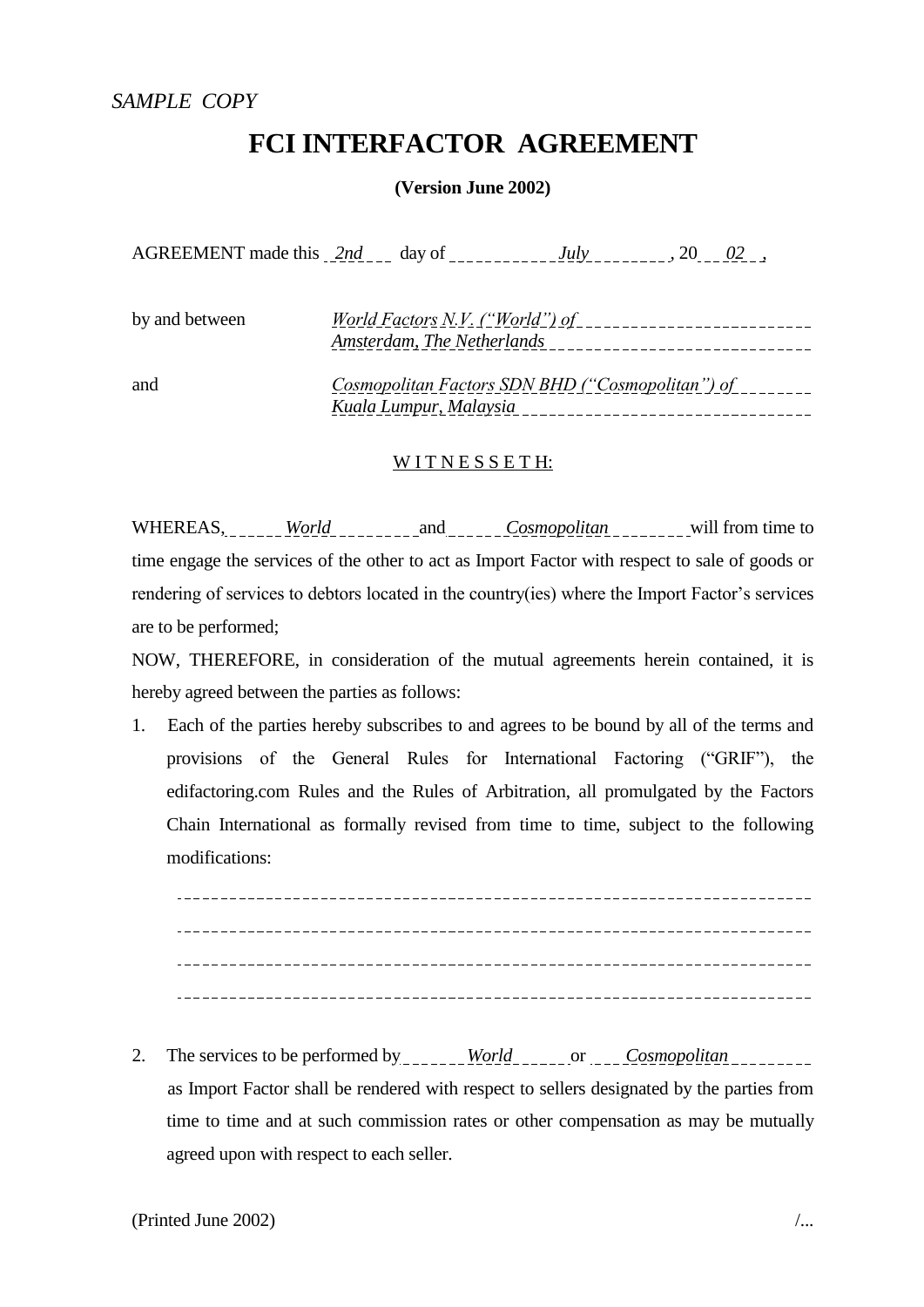## **FCI INTERFACTOR AGREEMENT**

**(Version June 2002)**

AGREEMENT made this  $2nd$  day of  $July$ ,  $July$ ,  $20$ ,  $02$ ,  $02$ ,

| by and between | World Factors N.V. ("World") of<br>Amsterdam, The Netherlands              |
|----------------|----------------------------------------------------------------------------|
| and            | Cosmopolitan Factors SDN BHD ("Cosmopolitan") of<br>Kuala Lumpur, Malaysia |

### WITNESSETH:

WHEREAS, <u>world</u> will from time to will from time to time engage the services of the other to act as Import Factor with respect to sale of goods or rendering of services to debtors located in the country(ies) where the Import Factor's services are to be performed;

NOW, THEREFORE, in consideration of the mutual agreements herein contained, it is hereby agreed between the parties as follows:

1. Each of the parties hereby subscribes to and agrees to be bound by all of the terms and provisions of the General Rules for International Factoring ("GRIF"), the edifactoring.com Rules and the Rules of Arbitration, all promulgated by the Factors Chain International as formally revised from time to time, subject to the following modifications:

2. The services to be performed by \_\_\_\_\_\_\_ World\_\_\_\_\_\_ or \_\_\_ Cosmopolitan\_\_\_\_\_\_\_\_ as Import Factor shall be rendered with respect to sellers designated by the parties from time to time and at such commission rates or other compensation as may be mutually agreed upon with respect to each seller.